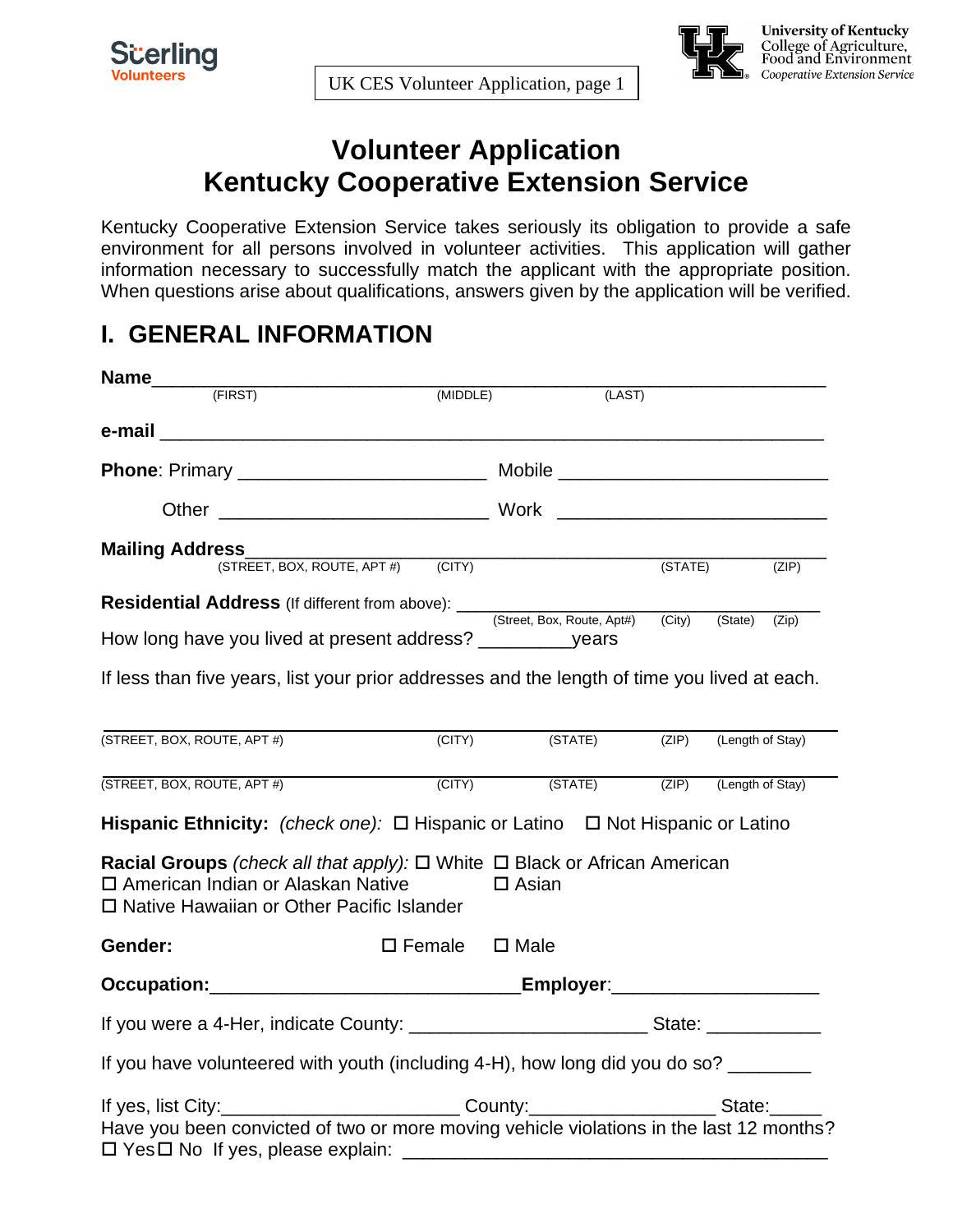



# **University of Kentucky<br>College of Agriculture,<br>Food and Environment** Cooperative Extension Service

# **Volunteer Application Kentucky Cooperative Extension Service**

Kentucky Cooperative Extension Service takes seriously its obligation to provide a safe environment for all persons involved in volunteer activities. This application will gather information necessary to successfully match the applicant with the appropriate position. When questions arise about qualifications, answers given by the application will be verified.

#### **I. GENERAL INFORMATION**

|                                                                                                                                                                           | (MIDDLE)                        | (LAST)                                                      |                   |  |       |
|---------------------------------------------------------------------------------------------------------------------------------------------------------------------------|---------------------------------|-------------------------------------------------------------|-------------------|--|-------|
|                                                                                                                                                                           |                                 |                                                             |                   |  |       |
|                                                                                                                                                                           |                                 |                                                             |                   |  |       |
|                                                                                                                                                                           |                                 |                                                             |                   |  |       |
| <b>Mailing Address_</b>                                                                                                                                                   |                                 |                                                             |                   |  |       |
|                                                                                                                                                                           |                                 |                                                             | $(STATE)$ $(ZIP)$ |  |       |
|                                                                                                                                                                           |                                 |                                                             |                   |  |       |
| How long have you lived at present address? ______________years                                                                                                           |                                 |                                                             |                   |  | (Zip) |
| If less than five years, list your prior addresses and the length of time you lived at each.                                                                              |                                 |                                                             |                   |  |       |
| (STREET, BOX, ROUTE, APT #)                                                                                                                                               | (CITY)                          | (STATE) (ZIP) (Length of Stay)                              |                   |  |       |
| (STREET, BOX, ROUTE, APT #)                                                                                                                                               |                                 | (CITY) (STATE) (ZIP) (Length of Stay)                       |                   |  |       |
| Hispanic Ethnicity: (check one): $\Box$ Hispanic or Latino $\Box$ Not Hispanic or Latino                                                                                  |                                 |                                                             |                   |  |       |
| Racial Groups (check all that apply): $\Box$ White $\Box$ Black or African American<br>□ American Indian or Alaskan Native<br>□ Native Hawaiian or Other Pacific Islander |                                 | $\Box$ Asian                                                |                   |  |       |
| Gender:                                                                                                                                                                   | $\square$ Female $\square$ Male |                                                             |                   |  |       |
|                                                                                                                                                                           |                                 |                                                             |                   |  |       |
| If you were a 4-Her, indicate County: __________________________________State: _____________________                                                                      |                                 |                                                             |                   |  |       |
| If you have volunteered with youth (including 4-H), how long did you do so? ________                                                                                      |                                 |                                                             |                   |  |       |
| If yes, list City:_____________________________County:_______________________State:______                                                                                 |                                 |                                                             |                   |  |       |
| Have you been convicted of two or more moving vehicle violations in the last 12 months?<br>$\Box$ Yes $\Box$ No If yes, please explain:                                   |                                 | <u> 1989 - Johann Stoff, amerikansk politiker (d. 1989)</u> |                   |  |       |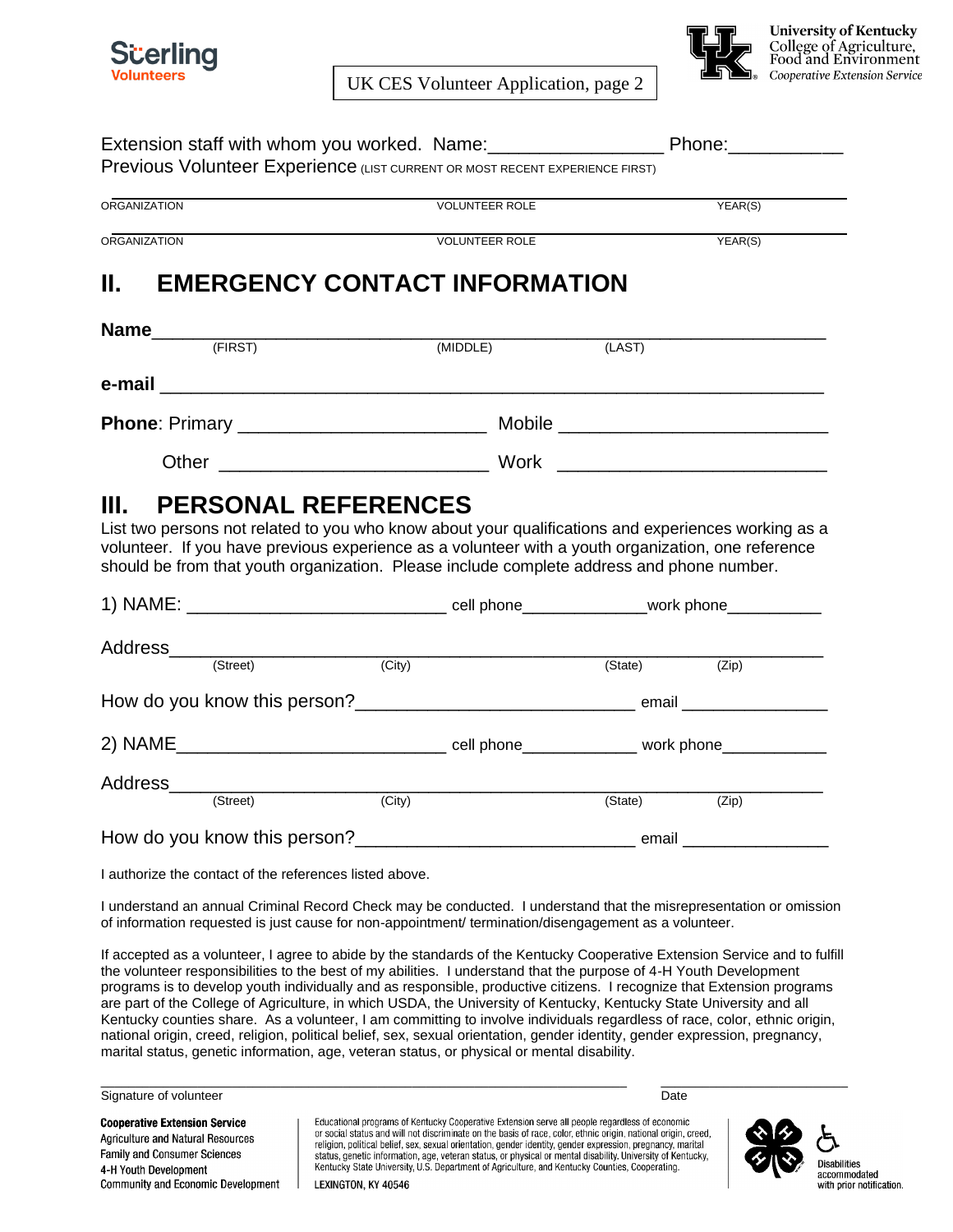

UK CES Volunteer Application, page 2



**University of Kentucky** College of Agriculture,<br>Food and Environment Cooperative Extension Service

| Previous Volunteer Experience (LIST CURRENT OR MOST RECENT EXPERIENCE FIRST)                                                                                                                                                                                                                                                                                               |                     |                       |         |         |
|----------------------------------------------------------------------------------------------------------------------------------------------------------------------------------------------------------------------------------------------------------------------------------------------------------------------------------------------------------------------------|---------------------|-----------------------|---------|---------|
| <b>ORGANIZATION</b>                                                                                                                                                                                                                                                                                                                                                        |                     | <b>VOLUNTEER ROLE</b> |         | YEAR(S) |
| <b>ORGANIZATION</b>                                                                                                                                                                                                                                                                                                                                                        |                     | <b>VOLUNTEER ROLE</b> |         | YEAR(S) |
|                                                                                                                                                                                                                                                                                                                                                                            |                     |                       |         |         |
| <b>II. EMERGENCY CONTACT INFORMATION</b>                                                                                                                                                                                                                                                                                                                                   |                     |                       |         |         |
|                                                                                                                                                                                                                                                                                                                                                                            |                     |                       |         |         |
|                                                                                                                                                                                                                                                                                                                                                                            |                     | (MIDDLE)              | (LAST)  |         |
| e-mail entrance and the contract of the contract of the contract of the contract of the contract of the contract of the contract of the contract of the contract of the contract of the contract of the contract of the contra                                                                                                                                             |                     |                       |         |         |
|                                                                                                                                                                                                                                                                                                                                                                            |                     |                       |         |         |
|                                                                                                                                                                                                                                                                                                                                                                            |                     |                       |         |         |
|                                                                                                                                                                                                                                                                                                                                                                            |                     |                       |         |         |
| (Street)                                                                                                                                                                                                                                                                                                                                                                   | (City)              |                       | (State) | (Zip)   |
|                                                                                                                                                                                                                                                                                                                                                                            |                     |                       |         |         |
|                                                                                                                                                                                                                                                                                                                                                                            |                     |                       |         |         |
|                                                                                                                                                                                                                                                                                                                                                                            |                     |                       |         |         |
|                                                                                                                                                                                                                                                                                                                                                                            |                     |                       |         |         |
|                                                                                                                                                                                                                                                                                                                                                                            | $\overline{(City)}$ |                       | (State) | (Zip)   |
| How do you know this person? example a series are a series and the series of the series of the series of the series of the series of the series of the series of the series of the series of the series of the series of the s                                                                                                                                             |                     |                       |         |         |
| I authorize the contact of the references listed above.                                                                                                                                                                                                                                                                                                                    |                     |                       |         |         |
| I understand an annual Criminal Record Check may be conducted. I understand that the misrepresentation or omission<br>of information requested is just cause for non-appointment/ termination/disengagement as a volunteer.                                                                                                                                                |                     |                       |         |         |
| If accepted as a volunteer, I agree to abide by the standards of the Kentucky Cooperative Extension Service and to fulfill<br>the volunteer responsibilities to the best of my abilities. I understand that the purpose of 4-H Youth Development<br>programs is to develop youth individually and as responsible, productive citizens. I recognize that Extension programs |                     |                       |         |         |

are part of the College of Agriculture, in which USDA, the University of Kentucky, Kentucky State University and all Kentucky counties share. As a volunteer, I am committing to involve individuals regardless of race, color, ethnic origin, national origin, creed, religion, political belief, sex, sexual orientation, gender identity, gender expression, pregnancy, marital status, genetic information, age, veteran status, or physical or mental disability.



**Cooperative Extension Service** Agriculture and Natural Resources Family and Consumer Sciences 4-H Youth Development Community and Economic Development Educational programs of Kentucky Cooperative Extension serve all people regardless of economic<br>or social status and will not discriminate on the basis of race, color, ethnic origin, national origin, creed, Feligion, political belief, sex, sexual orientation, gender identity, gender expression, pregnancy, marital<br>status, genetic information, age, veteran status, or physical or mental disability. University of Kentucky,<br>Kentuc



LEXINGTON, KY 40546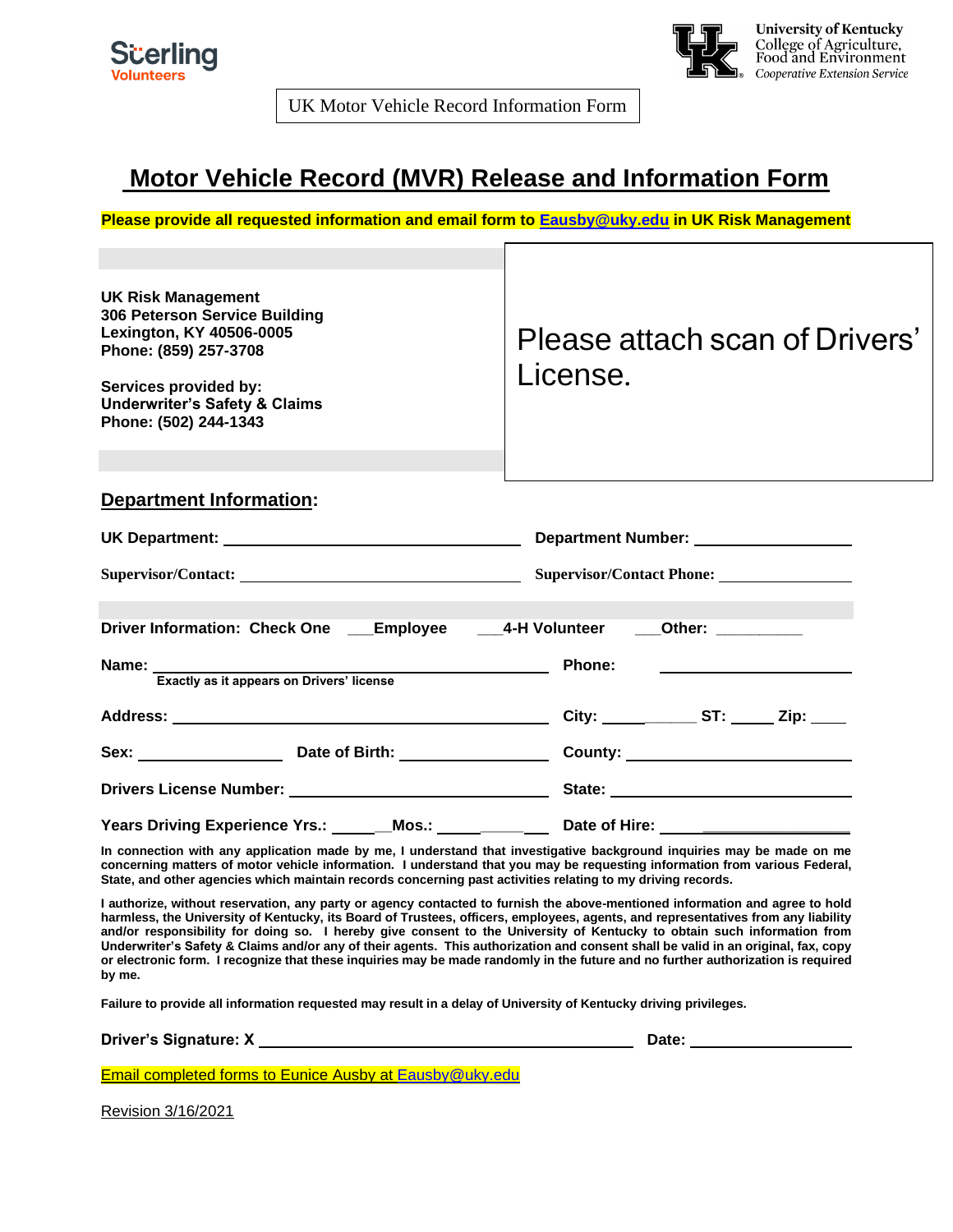

**University of Kentucky<br>College of Agriculture,<br>Food and Environment** Cooperative Extension Service

UK Motor Vehicle Record Information Form

#### **Motor Vehicle Record (MVR) Release and Information Form**

**Please provide all requested information and email form to [Eausby@uky.edu](mailto:Eausby@uky.edu) in UK Risk Management**

| <b>UK Risk Management</b><br>306 Peterson Service Building<br>Lexington, KY 40506-0005<br>Phone: (859) 257-3708<br>Services provided by:<br><b>Underwriter's Safety &amp; Claims</b><br>Phone: (502) 244-1343 | Please attach scan of Drivers'<br>License. |  |  |
|---------------------------------------------------------------------------------------------------------------------------------------------------------------------------------------------------------------|--------------------------------------------|--|--|
| <b>Department Information:</b>                                                                                                                                                                                |                                            |  |  |
| UK Department: Number: Number: Number: Number: Number: Number: Number: Number: Number: Number: Number: Number:                                                                                                |                                            |  |  |
| Supervisor/Contact: Supervisor/Contact Phone: Supervisor/Contact Phone:                                                                                                                                       |                                            |  |  |
| Driver Information: Check One ____Employee _____4-H Volunteer ____Other: ________                                                                                                                             |                                            |  |  |
| Name: Exactly as it appears on Drivers' license                                                                                                                                                               | <b>Phone:</b>                              |  |  |
|                                                                                                                                                                                                               |                                            |  |  |
|                                                                                                                                                                                                               |                                            |  |  |
|                                                                                                                                                                                                               |                                            |  |  |
| Years Driving Experience Yrs.: Mos.: Date of Hire: 1990 Million Capacity Contains                                                                                                                             |                                            |  |  |

**In connection with any application made by me, I understand that investigative background inquiries may be made on me concerning matters of motor vehicle information. I understand that you may be requesting information from various Federal, State, and other agencies which maintain records concerning past activities relating to my driving records.**

**I authorize, without reservation, any party or agency contacted to furnish the above-mentioned information and agree to hold harmless, the University of Kentucky, its Board of Trustees, officers, employees, agents, and representatives from any liability and/or responsibility for doing so. I hereby give consent to the University of Kentucky to obtain such information from Underwriter's Safety & Claims and/or any of their agents. This authorization and consent shall be valid in an original, fax, copy or electronic form. I recognize that these inquiries may be made randomly in the future and no further authorization is required by me.**

**Failure to provide all information requested may result in a delay of University of Kentucky driving privileges.**

**Driver's Signature: X Date:** 

Email completed forms to Eunice Ausby at [Eausby@uky.edu](mailto:Eausby@uky.edu)

Revision 3/16/2021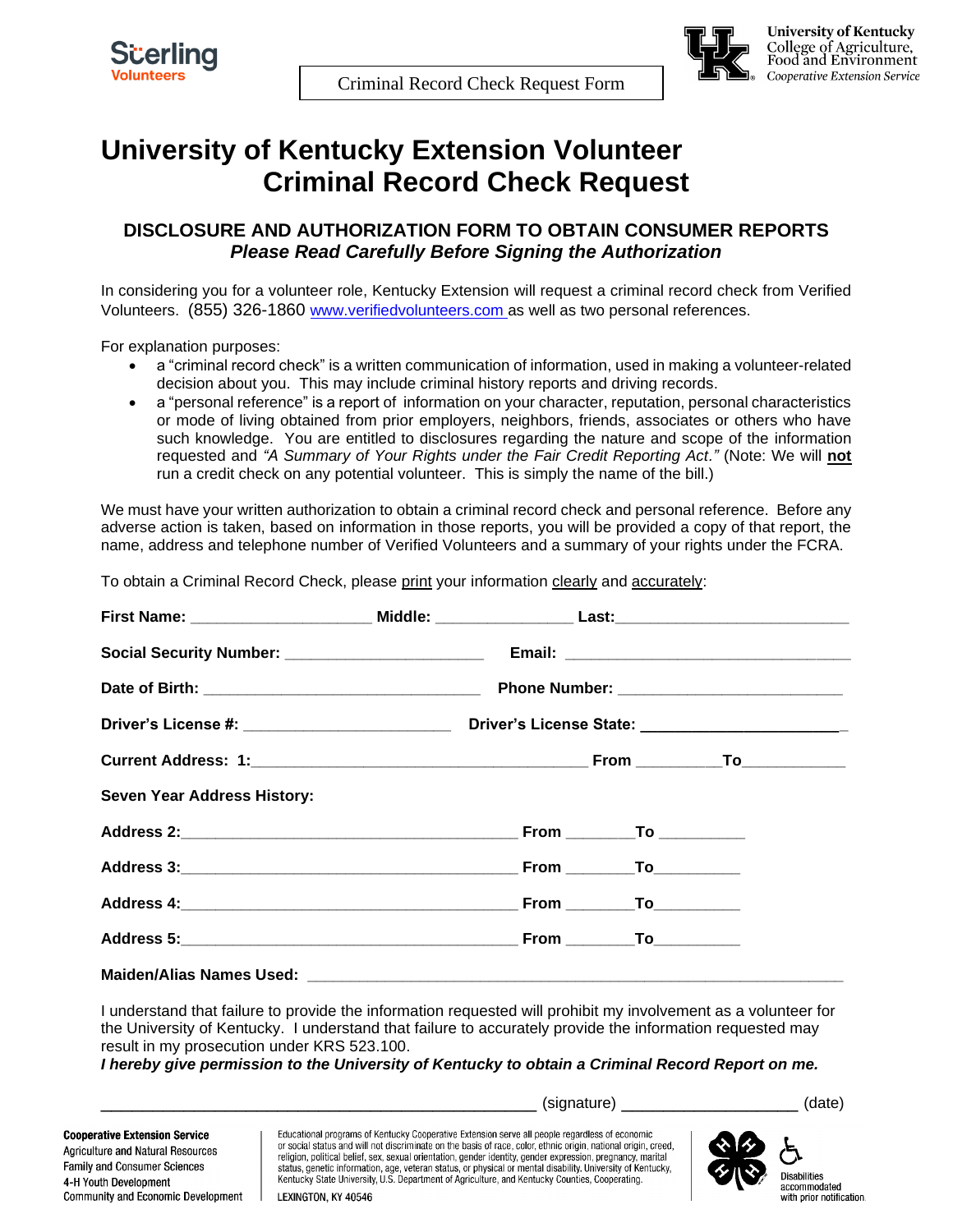

### **University of Kentucky Extension Volunteer Criminal Record Check Request**

#### **DISCLOSURE AND AUTHORIZATION FORM TO OBTAIN CONSUMER REPORTS** *Please Read Carefully Before Signing the Authorization*

In considering you for a volunteer role, Kentucky Extension will request a criminal record check from Verified Volunteers. (855) 326-1860 www.verifiedvolunteers.com as well as two personal references.

For explanation purposes:

- a "criminal record check" is a written communication of information, used in making a volunteer-related decision about you. This may include criminal history reports and driving records.
- a "personal reference" is a report of information on your character, reputation, personal characteristics or mode of living obtained from prior employers, neighbors, friends, associates or others who have such knowledge. You are entitled to disclosures regarding the nature and scope of the information requested and *"A Summary of Your Rights under the Fair Credit Reporting Act."* (Note: We will **not** run a credit check on any potential volunteer. This is simply the name of the bill.)

We must have your written authorization to obtain a criminal record check and personal reference. Before any adverse action is taken, based on information in those reports, you will be provided a copy of that report, the name, address and telephone number of Verified Volunteers and a summary of your rights under the FCRA.

To obtain a Criminal Record Check, please print your information clearly and accurately:

| Seven Year Address History: |  |  |
|-----------------------------|--|--|
|                             |  |  |
|                             |  |  |
|                             |  |  |
|                             |  |  |
|                             |  |  |

I understand that failure to provide the information requested will prohibit my involvement as a volunteer for the University of Kentucky. I understand that failure to accurately provide the information requested may result in my prosecution under KRS 523.100.

*I hereby give permission to the University of Kentucky to obtain a Criminal Record Report on me.*

**Cooperative Extension Service** Agriculture and Natural Resources Family and Consumer Sciences 4-H Youth Development Community and Economic Development

\_\_\_\_\_\_\_\_\_\_\_\_\_\_\_\_\_\_\_\_\_\_\_\_\_\_\_\_\_\_\_\_\_\_\_\_\_\_\_\_\_\_ (signature) \_\_\_\_\_\_\_\_\_\_\_\_\_\_\_\_\_ (date)

Educational programs of Kentucky Cooperative Extension serve all people regardless of economic or social status and will not discriminate on the basis of race, color, ethnic origin, national origin, creed, religion, political belief, sex, sexual orientation, gender identity, gender expression, pregnancy, marital status, genetic information, age, veteran status, or physical or mental disability. University of Kentucky, Kentucky State University, U.S. Department of Agriculture, and Kentucky Counties, Cooperating.



LEXINGTON, KY 40546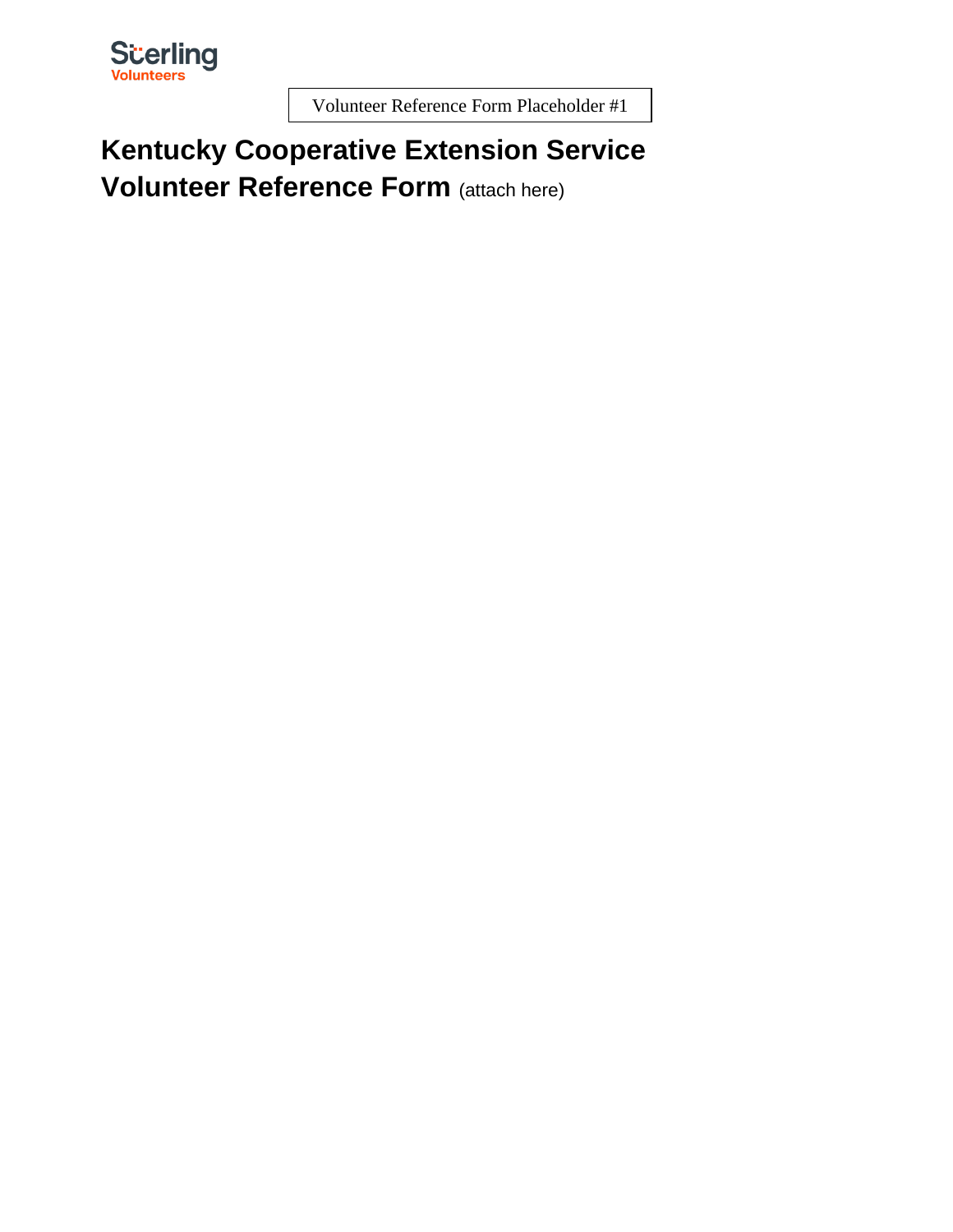

Volunteer Reference Form Placeholder #1

# **Kentucky Cooperative Extension Service Volunteer Reference Form** (attach here)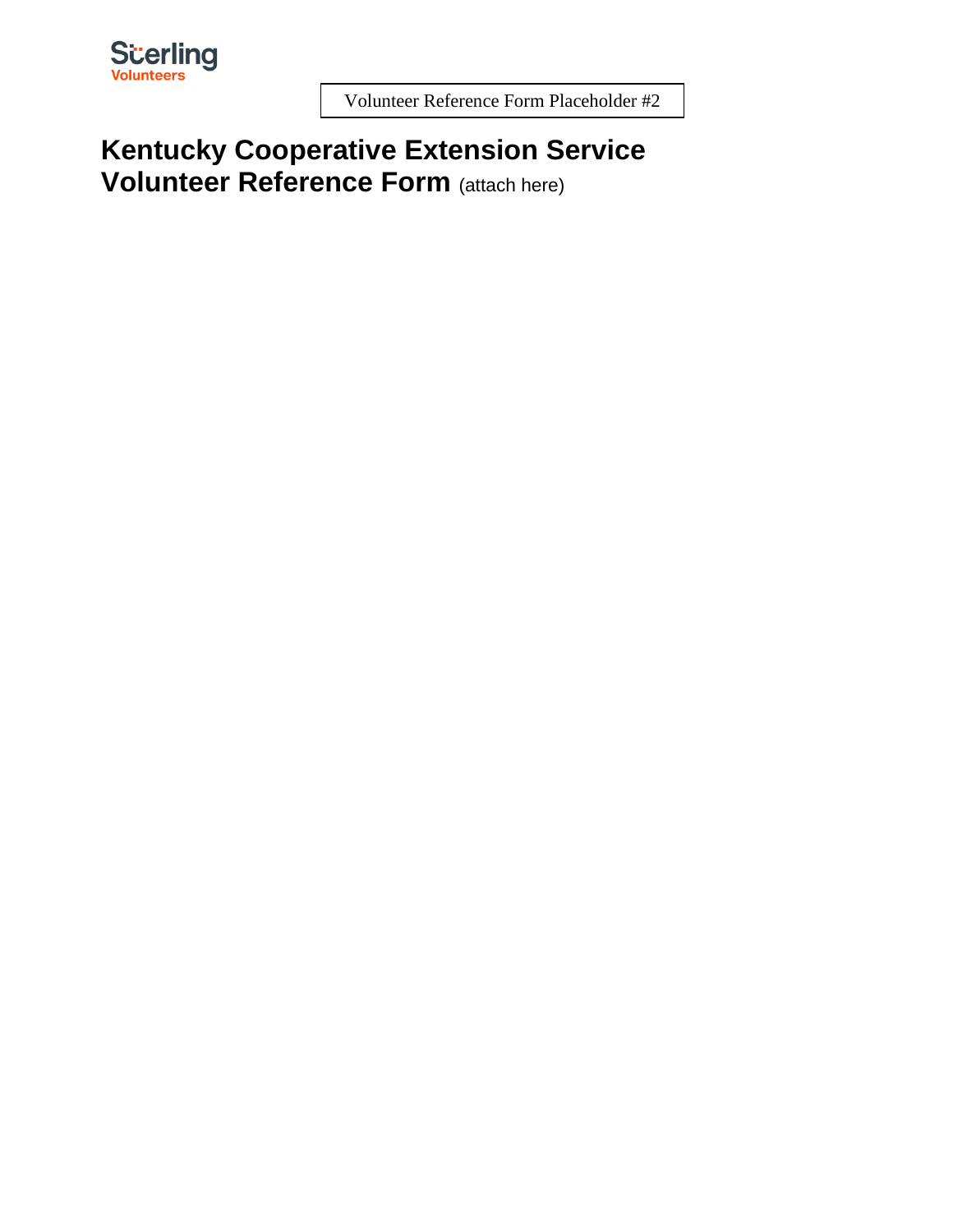

Volunteer Reference Form Placeholder #2

# **Kentucky Cooperative Extension Service Volunteer Reference Form** (attach here)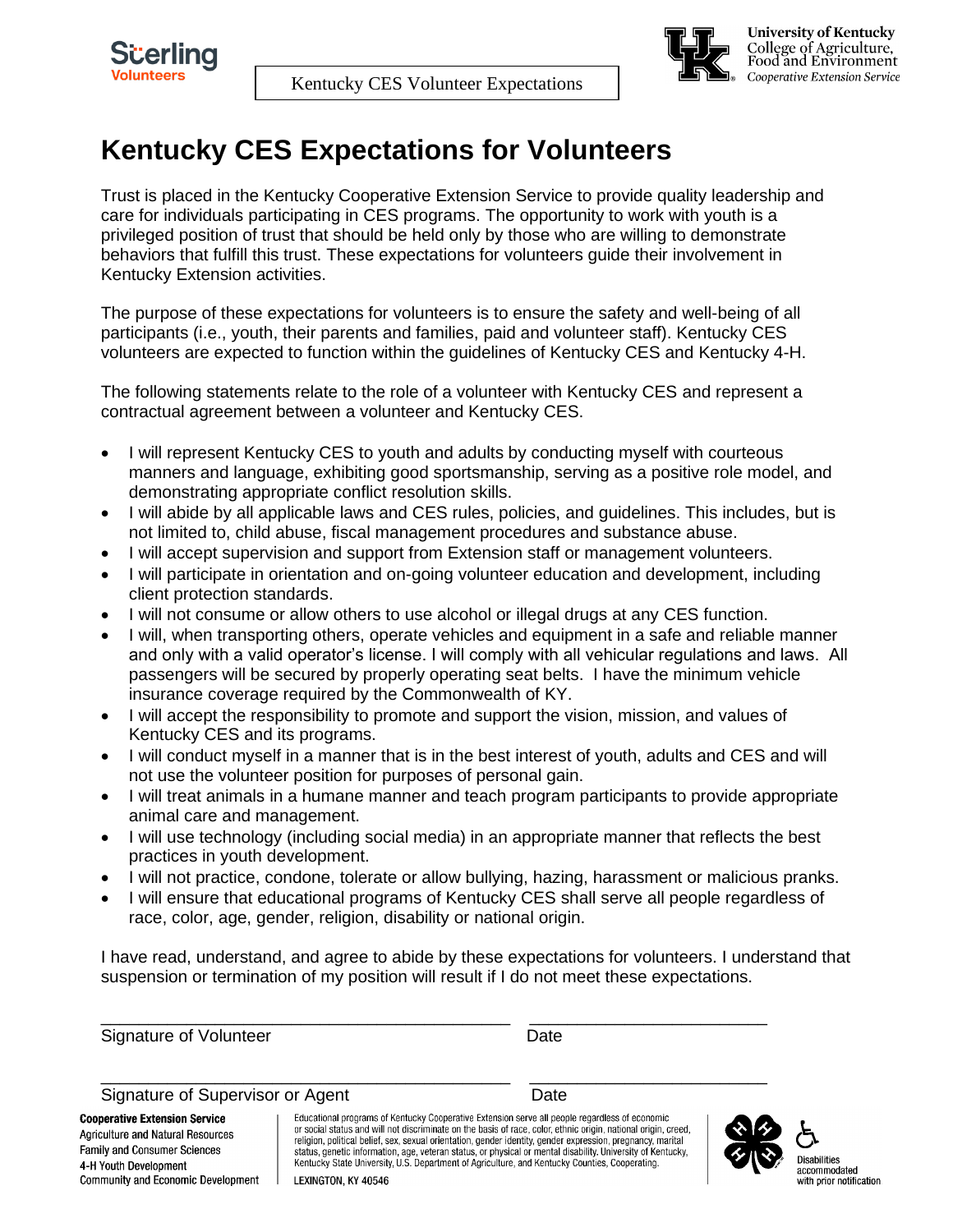

# **Kentucky CES Expectations for Volunteers**

Trust is placed in the Kentucky Cooperative Extension Service to provide quality leadership and care for individuals participating in CES programs. The opportunity to work with youth is a privileged position of trust that should be held only by those who are willing to demonstrate behaviors that fulfill this trust. These expectations for volunteers guide their involvement in Kentucky Extension activities.

The purpose of these expectations for volunteers is to ensure the safety and well-being of all participants (i.e., youth, their parents and families, paid and volunteer staff). Kentucky CES volunteers are expected to function within the guidelines of Kentucky CES and Kentucky 4-H.

The following statements relate to the role of a volunteer with Kentucky CES and represent a contractual agreement between a volunteer and Kentucky CES.

- I will represent Kentucky CES to youth and adults by conducting myself with courteous manners and language, exhibiting good sportsmanship, serving as a positive role model, and demonstrating appropriate conflict resolution skills.
- I will abide by all applicable laws and CES rules, policies, and guidelines. This includes, but is not limited to, child abuse, fiscal management procedures and substance abuse.
- I will accept supervision and support from Extension staff or management volunteers.
- I will participate in orientation and on-going volunteer education and development, including client protection standards.
- I will not consume or allow others to use alcohol or illegal drugs at any CES function.
- I will, when transporting others, operate vehicles and equipment in a safe and reliable manner and only with a valid operator's license. I will comply with all vehicular regulations and laws. All passengers will be secured by properly operating seat belts. I have the minimum vehicle insurance coverage required by the Commonwealth of KY.
- I will accept the responsibility to promote and support the vision, mission, and values of Kentucky CES and its programs.
- I will conduct myself in a manner that is in the best interest of youth, adults and CES and will not use the volunteer position for purposes of personal gain.
- I will treat animals in a humane manner and teach program participants to provide appropriate animal care and management.
- I will use technology (including social media) in an appropriate manner that reflects the best practices in youth development.
- I will not practice, condone, tolerate or allow bullying, hazing, harassment or malicious pranks.
- I will ensure that educational programs of Kentucky CES shall serve all people regardless of race, color, age, gender, religion, disability or national origin.

\_\_\_\_\_\_\_\_\_\_\_\_\_\_\_\_\_\_\_\_\_\_\_\_\_\_\_\_\_\_\_\_\_\_\_\_\_\_\_\_\_\_\_ \_\_\_\_\_\_\_\_\_\_\_\_\_\_\_\_\_\_\_\_\_\_\_\_\_

I have read, understand, and agree to abide by these expectations for volunteers. I understand that suspension or termination of my position will result if I do not meet these expectations.

Signature of Volunteer and Date Date

Signature of Supervisor or Agent **Date** Date

\_\_\_\_\_\_\_\_\_\_\_\_\_\_\_\_\_\_\_\_\_\_\_\_\_\_\_\_\_\_\_\_\_\_\_\_\_\_\_\_\_\_\_ \_\_\_\_\_\_\_\_\_\_\_\_\_\_\_\_\_\_\_\_\_\_\_\_\_

**Cooperative Extension Service Agriculture and Natural Resources** Family and Consumer Sciences 4-H Youth Development Community and Economic Development

Educational programs of Kentucky Cooperative Extension serve all people regardless of economic or social status and will not discriminate on the basis of race, color, ethnic origin, national origin, creed, religion, political belief, sex, sexual orientation, gender identity, gender expression, pregnancy, marital status, genetic information, age, veteran status, or physical or mental disability. University of Kentucky, Kentucky, Kentucky, Kentucky, Kentucky, Kentucky, LEXINGTON, KY 40546

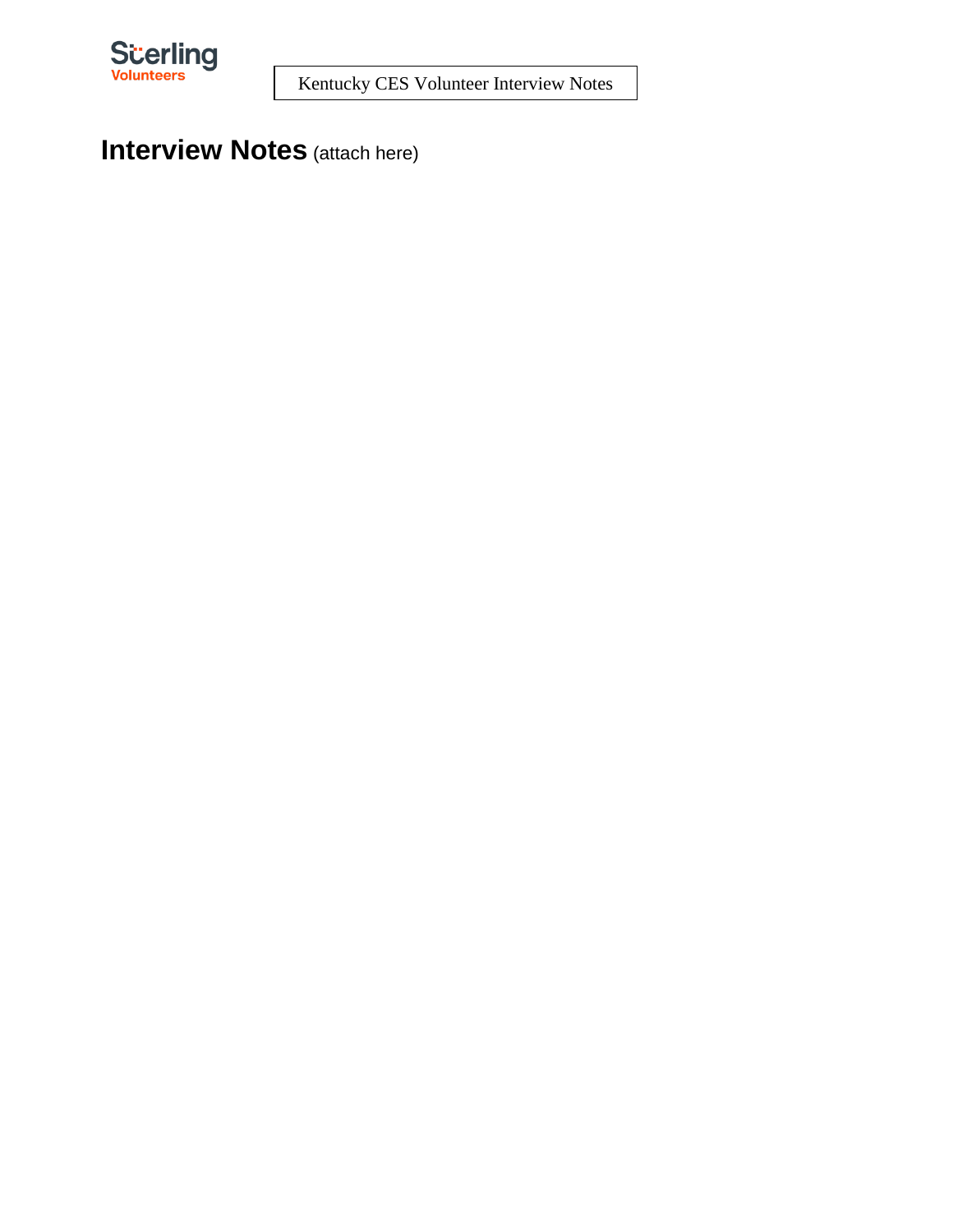

# **Interview Notes** (attach here)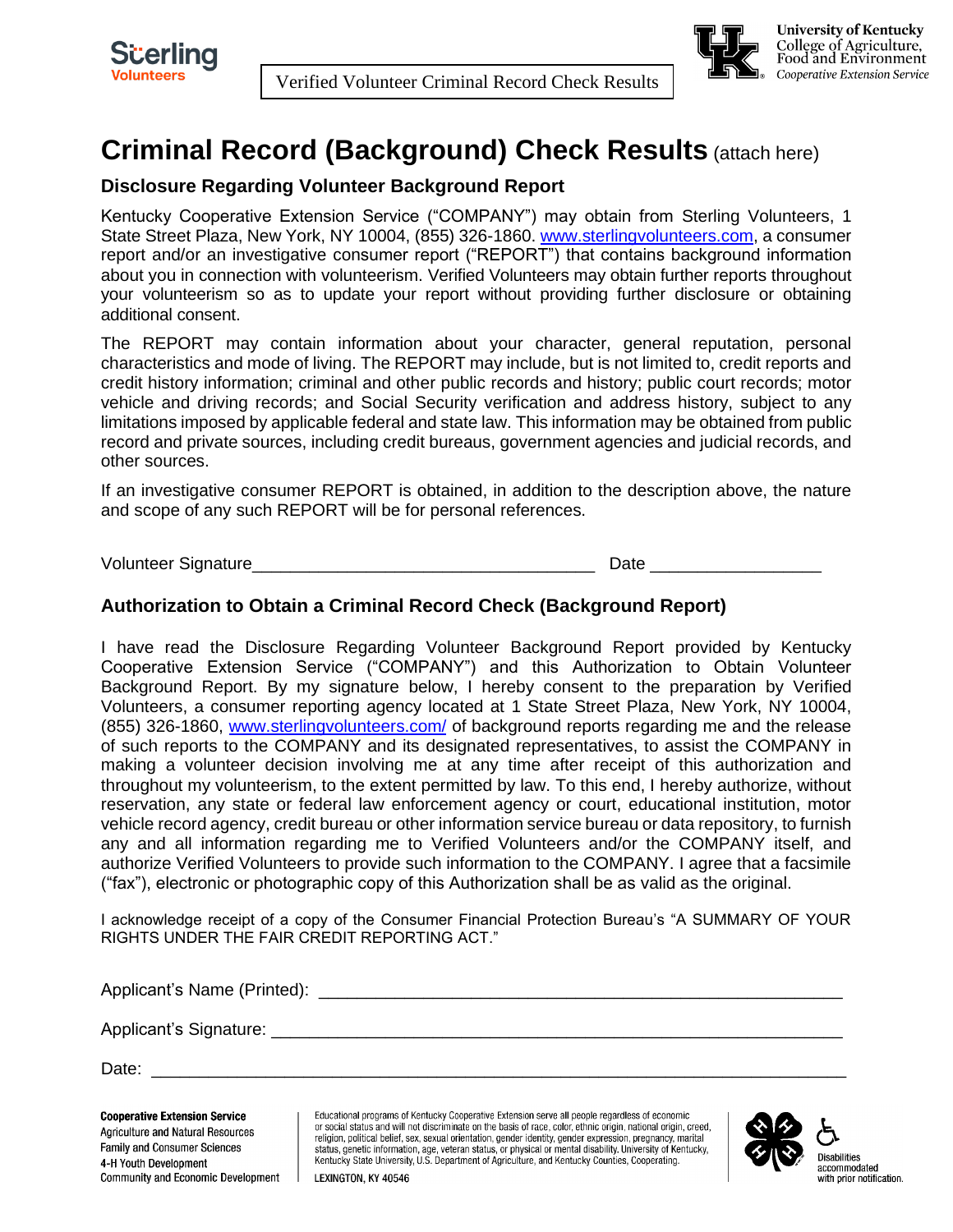

Verified Volunteer Criminal Record Check Results



**University of Kentucky** College of Agriculture,<br>Food and Environment Cooperative Extension Service

# **Criminal Record (Background) Check Results** (attach here)

#### **Disclosure Regarding Volunteer Background Report**

Kentucky Cooperative Extension Service ("COMPANY") may obtain from Sterling Volunteers, 1 State Street Plaza, New York, NY 10004, (855) 326-1860. [www.sterlingvolunteers.com,](http://www.sterlingvolunteers.com/) a consumer report and/or an investigative consumer report ("REPORT") that contains background information about you in connection with volunteerism. Verified Volunteers may obtain further reports throughout your volunteerism so as to update your report without providing further disclosure or obtaining additional consent.

The REPORT may contain information about your character, general reputation, personal characteristics and mode of living. The REPORT may include, but is not limited to, credit reports and credit history information; criminal and other public records and history; public court records; motor vehicle and driving records; and Social Security verification and address history, subject to any limitations imposed by applicable federal and state law. This information may be obtained from public record and private sources, including credit bureaus, government agencies and judicial records, and other sources.

If an investigative consumer REPORT is obtained, in addition to the description above, the nature and scope of any such REPORT will be for personal references.

Volunteer Signature\_\_\_\_\_\_\_\_\_\_\_\_\_\_\_\_\_\_\_\_\_\_\_\_\_\_\_\_\_\_\_\_\_\_\_\_ Date \_\_\_\_\_\_\_\_\_\_\_\_\_\_\_\_\_\_

#### **Authorization to Obtain a Criminal Record Check (Background Report)**

I have read the Disclosure Regarding Volunteer Background Report provided by Kentucky Cooperative Extension Service ("COMPANY") and this Authorization to Obtain Volunteer Background Report. By my signature below, I hereby consent to the preparation by Verified Volunteers, a consumer reporting agency located at 1 State Street Plaza, New York, NY 10004, (855) 326-1860, [www.sterlingvolunteers.com/](http://www.sterlingvolunteers.com/) of background reports regarding me and the release of such reports to the COMPANY and its designated representatives, to assist the COMPANY in making a volunteer decision involving me at any time after receipt of this authorization and throughout my volunteerism, to the extent permitted by law. To this end, I hereby authorize, without reservation, any state or federal law enforcement agency or court, educational institution, motor vehicle record agency, credit bureau or other information service bureau or data repository, to furnish any and all information regarding me to Verified Volunteers and/or the COMPANY itself, and authorize Verified Volunteers to provide such information to the COMPANY. I agree that a facsimile ("fax"), electronic or photographic copy of this Authorization shall be as valid as the original.

I acknowledge receipt of a copy of the Consumer Financial Protection Bureau's "A SUMMARY OF YOUR RIGHTS UNDER THE FAIR CREDIT REPORTING ACT."

Applicant's Name (Printed): \_\_\_\_\_\_\_\_\_\_\_\_\_\_\_\_\_\_\_\_\_\_\_\_\_\_\_\_\_\_\_\_\_\_\_\_\_\_\_\_\_\_\_\_\_\_\_\_\_\_\_\_\_\_\_ Applicant's Signature: **Example 2018** Date: \_\_\_\_\_\_\_\_\_\_\_\_\_\_\_\_\_\_\_\_\_\_\_\_\_\_\_\_\_\_\_\_\_\_\_\_\_\_\_\_\_\_\_\_\_\_\_\_\_\_\_\_\_\_\_\_\_\_\_\_\_\_\_\_\_\_\_\_\_\_\_\_\_ **Cooperative Extension Service** 

Agriculture and Natural Resources Family and Consumer Sciences 4-H Youth Development Community and Economic Development Educational programs of Kentucky Cooperative Extension serve all people regardless of economic or social status and will not discriminate on the basis of race, color, ethnic origin, national origin, creed, religion, political belief, sex, sexual orientation, gender identity, gender expression, pregnancy, marital status, genetic information, age, veteran status, or physical or mental disability. University of Kentucky, Kentucky State University, U.S. Department of Agriculture, and Kentucky Counties, Cooperating.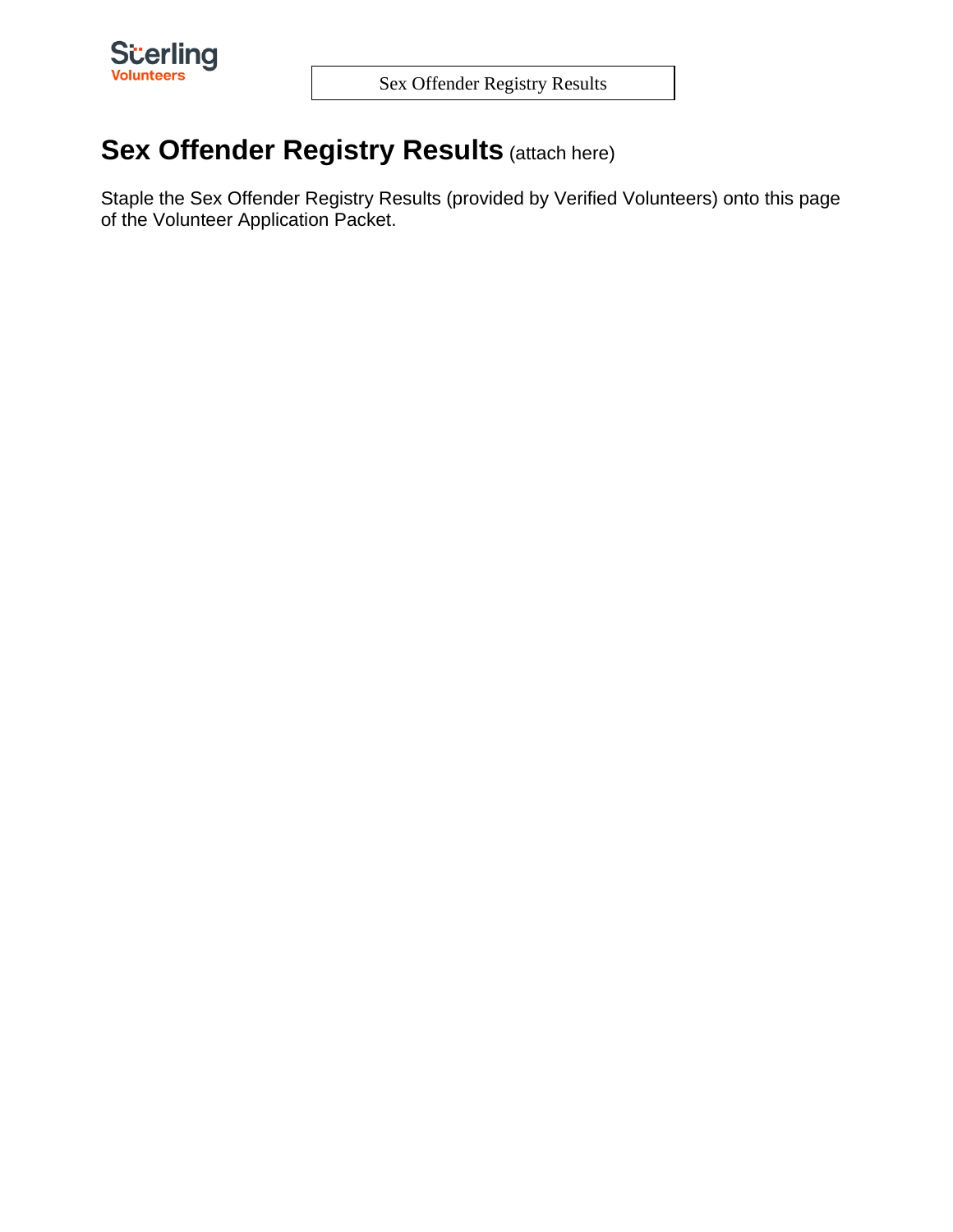

# **Sex Offender Registry Results (attach here)**

Staple the Sex Offender Registry Results (provided by Verified Volunteers) onto this page of the Volunteer Application Packet.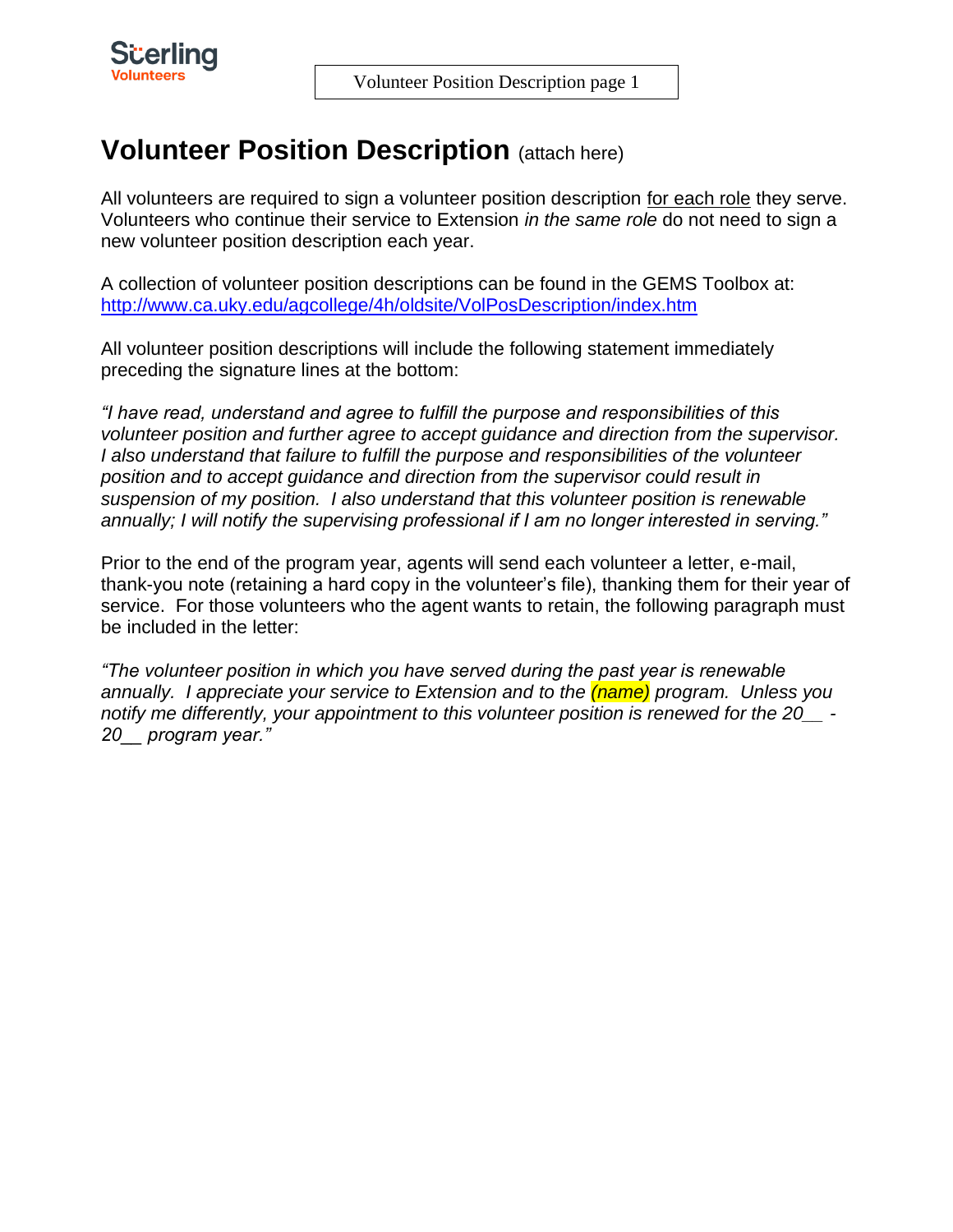

# **Volunteer Position Description (attach here)**

All volunteers are required to sign a volunteer position description for each role they serve. Volunteers who continue their service to Extension *in the same role* do not need to sign a new volunteer position description each year.

A collection of volunteer position descriptions can be found in the GEMS Toolbox at: <http://www.ca.uky.edu/agcollege/4h/oldsite/VolPosDescription/index.htm>

All volunteer position descriptions will include the following statement immediately preceding the signature lines at the bottom:

*"I have read, understand and agree to fulfill the purpose and responsibilities of this volunteer position and further agree to accept guidance and direction from the supervisor. I also understand that failure to fulfill the purpose and responsibilities of the volunteer position and to accept guidance and direction from the supervisor could result in suspension of my position. I also understand that this volunteer position is renewable annually; I will notify the supervising professional if I am no longer interested in serving."*

Prior to the end of the program year, agents will send each volunteer a letter, e-mail, thank-you note (retaining a hard copy in the volunteer's file), thanking them for their year of service. For those volunteers who the agent wants to retain, the following paragraph must be included in the letter:

*"The volunteer position in which you have served during the past year is renewable annually. I appreciate your service to Extension and to the (name) program. Unless you notify me differently, your appointment to this volunteer position is renewed for the 20\_\_ - 20\_\_ program year."*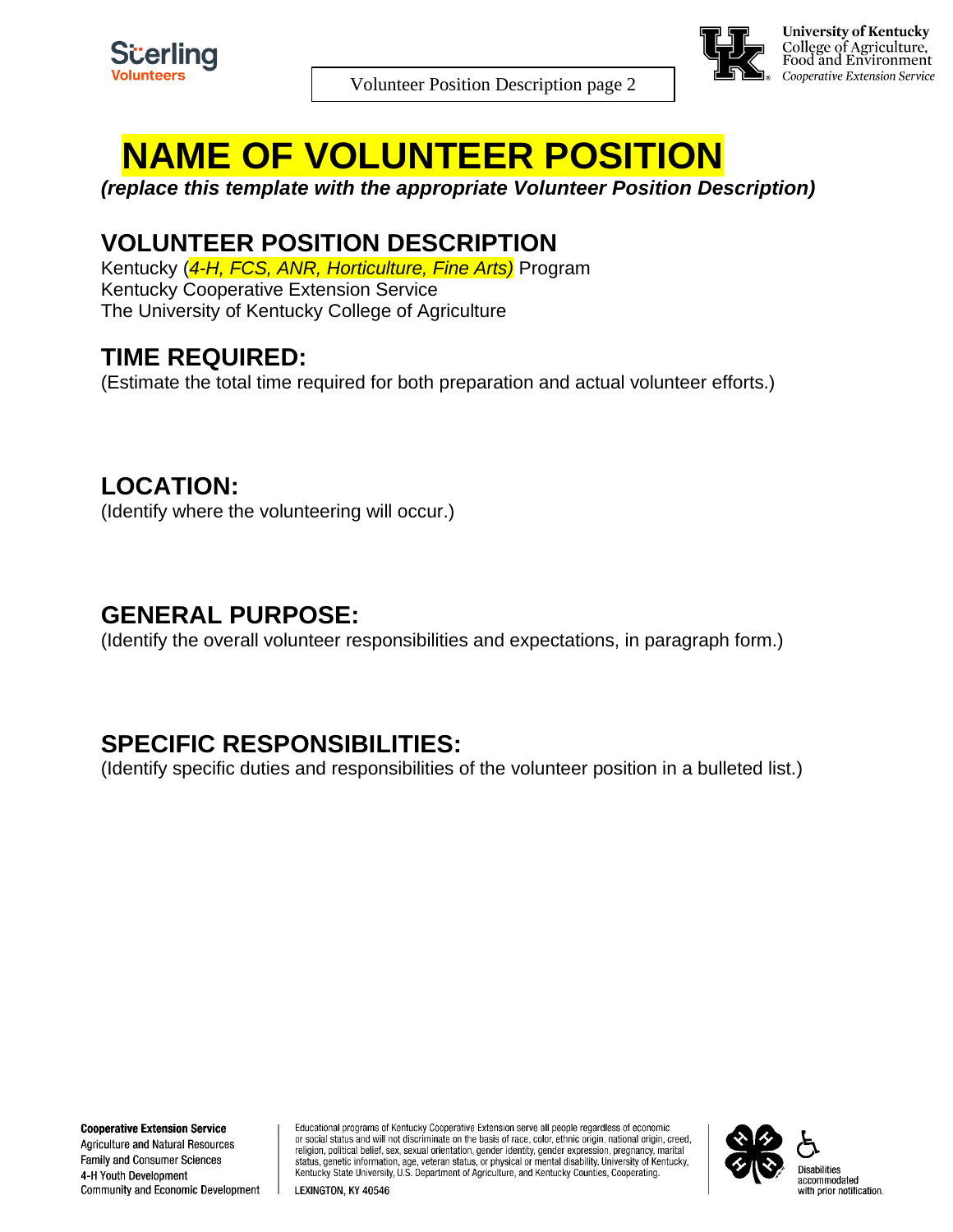

Volunteer Position Description page 2



# **NAME OF VOLUNTEER POSITION**

*(replace this template with the appropriate Volunteer Position Description)*

#### **VOLUNTEER POSITION DESCRIPTION**

Kentucky (*4-H, FCS, ANR, Horticulture, Fine Arts)* Program Kentucky Cooperative Extension Service The University of Kentucky College of Agriculture

#### **TIME REQUIRED:**

(Estimate the total time required for both preparation and actual volunteer efforts.)

#### **LOCATION:**

(Identify where the volunteering will occur.)

#### **GENERAL PURPOSE:**

(Identify the overall volunteer responsibilities and expectations, in paragraph form.)

### **SPECIFIC RESPONSIBILITIES:**

(Identify specific duties and responsibilities of the volunteer position in a bulleted list.)

**Cooperative Extension Service Agriculture and Natural Resources Family and Consumer Sciences** 4-H Youth Development Community and Economic Development Educational programs of Kentucky Cooperative Extension serve all people regardless of economic or social status and will not discriminate on the basis of race, color, ethnic origin, national origin, creed, religion, political belief, sex, sexual orientation, gender identity, gender expression, pregnancy, marital status, genetic information, age, veteran status, or physical or mental disability. University of Kentucky, Kentucky State University, U.S. Department of Agriculture, and Kentucky Counties, Cooperating.

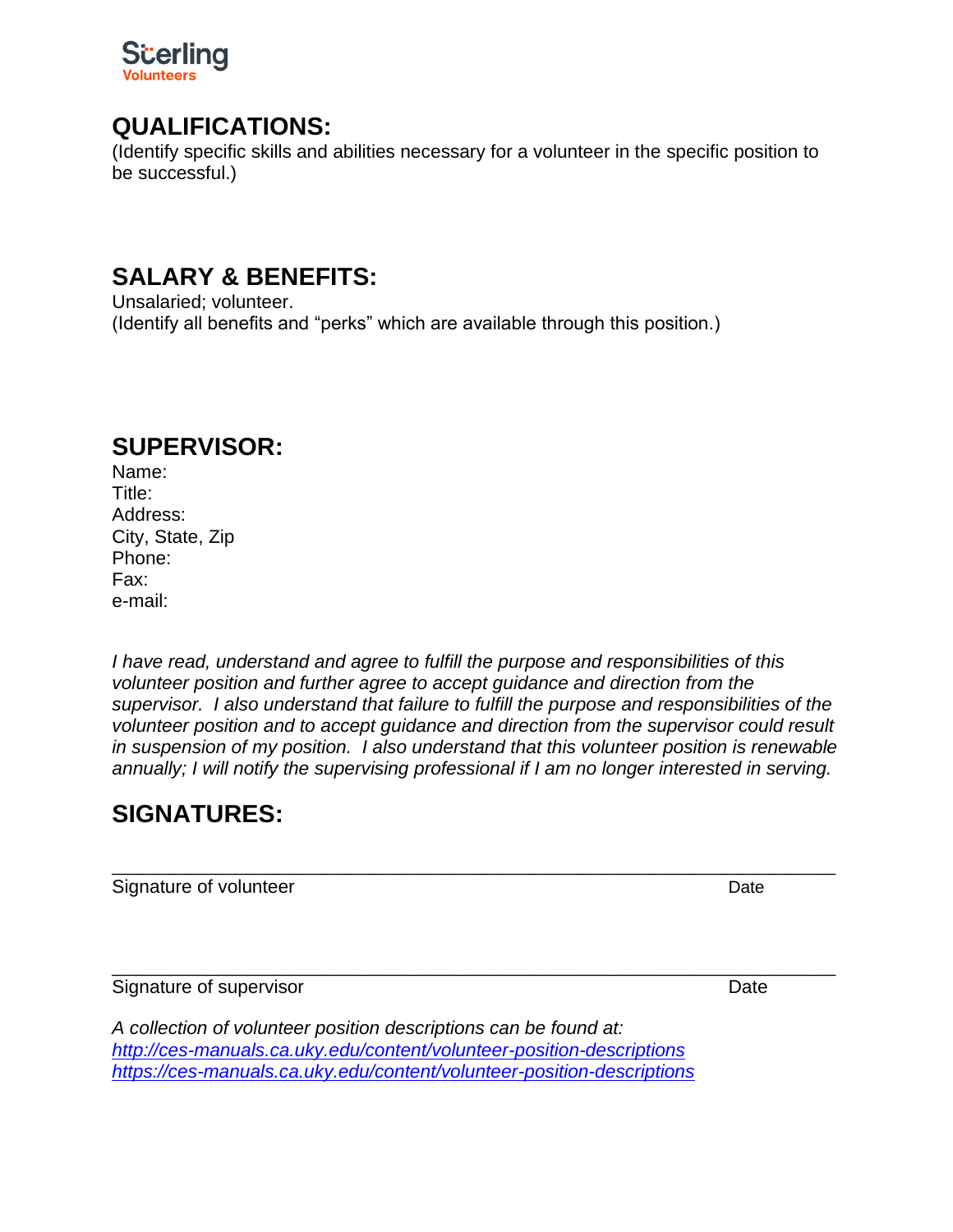

#### **QUALIFICATIONS:**

(Identify specific skills and abilities necessary for a volunteer in the specific position to be successful.)

#### **SALARY & BENEFITS:**

Unsalaried; volunteer. (Identify all benefits and "perks" which are available through this position.)

#### **SUPERVISOR:**

Name: Title: Address: City, State, Zip Phone: Fax: e-mail:

*I have read, understand and agree to fulfill the purpose and responsibilities of this volunteer position and further agree to accept guidance and direction from the supervisor. I also understand that failure to fulfill the purpose and responsibilities of the volunteer position and to accept guidance and direction from the supervisor could result in suspension of my position. I also understand that this volunteer position is renewable annually; I will notify the supervising professional if I am no longer interested in serving.*

\_\_\_\_\_\_\_\_\_\_\_\_\_\_\_\_\_\_\_\_\_\_\_\_\_\_\_\_\_\_\_\_\_\_\_\_\_\_\_\_\_\_\_\_\_\_\_\_\_\_\_\_\_\_\_\_\_\_\_\_\_\_\_\_\_\_\_\_\_\_\_\_\_\_\_\_

\_\_\_\_\_\_\_\_\_\_\_\_\_\_\_\_\_\_\_\_\_\_\_\_\_\_\_\_\_\_\_\_\_\_\_\_\_\_\_\_\_\_\_\_\_\_\_\_\_\_\_\_\_\_\_\_\_\_\_\_\_\_\_\_\_\_\_\_\_\_\_\_\_\_\_\_

### **SIGNATURES:**

Signature of volunteer and the state of the Date Date of the Date Date of the Date of the Date of the Date of the Date of the Date of the Date of the Date of the Date of the Date of the Date of the Date of the Date of the

Signature of supervisor **Date** 

*A collection of volunteer position descriptions can be found at: <http://ces-manuals.ca.uky.edu/content/volunteer-position-descriptions> <https://ces-manuals.ca.uky.edu/content/volunteer-position-descriptions>*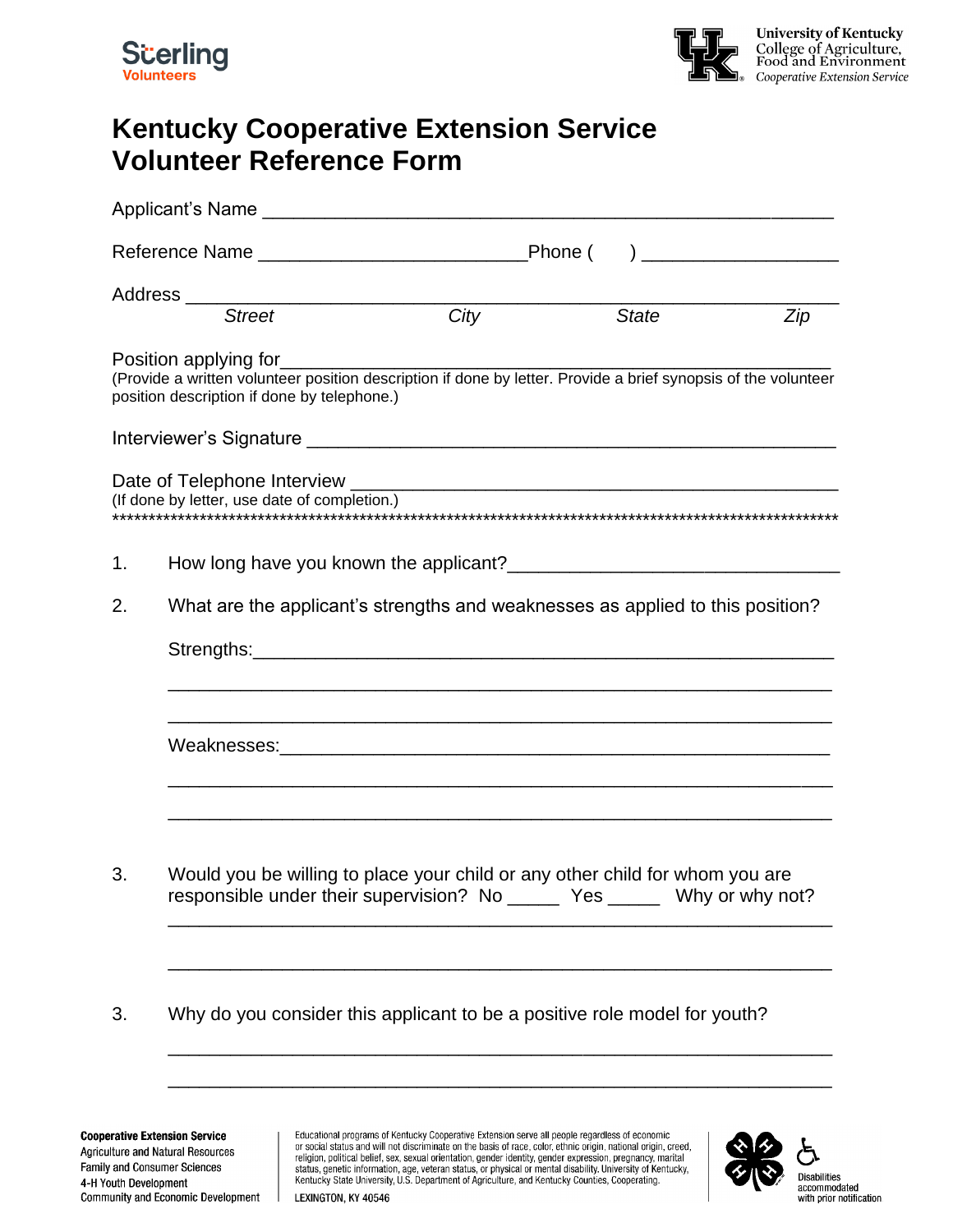



### **Kentucky Cooperative Extension Service Volunteer Reference Form**

|    |                                                                                                                                                               | $\overline{City}$ | <b>State</b> | Zip |  |  |  |
|----|---------------------------------------------------------------------------------------------------------------------------------------------------------------|-------------------|--------------|-----|--|--|--|
|    | (Provide a written volunteer position description if done by letter. Provide a brief synopsis of the volunteer<br>position description if done by telephone.) |                   |              |     |  |  |  |
|    |                                                                                                                                                               |                   |              |     |  |  |  |
|    | (If done by letter, use date of completion.)                                                                                                                  |                   |              |     |  |  |  |
| 1. |                                                                                                                                                               |                   |              |     |  |  |  |
| 2. | What are the applicant's strengths and weaknesses as applied to this position?                                                                                |                   |              |     |  |  |  |
|    |                                                                                                                                                               |                   |              |     |  |  |  |
|    |                                                                                                                                                               |                   |              |     |  |  |  |
| 3. | Would you be willing to place your child or any other child for whom you are<br>responsible under their supervision? No _______ Yes _______ Why or why not?   |                   |              |     |  |  |  |
| 3. | Why do you consider this applicant to be a positive role model for youth?                                                                                     |                   |              |     |  |  |  |

\_\_\_\_\_\_\_\_\_\_\_\_\_\_\_\_\_\_\_\_\_\_\_\_\_\_\_\_\_\_\_\_\_\_\_\_\_\_\_\_\_\_\_\_\_\_\_\_\_\_\_\_\_\_\_\_\_\_\_\_\_\_\_\_